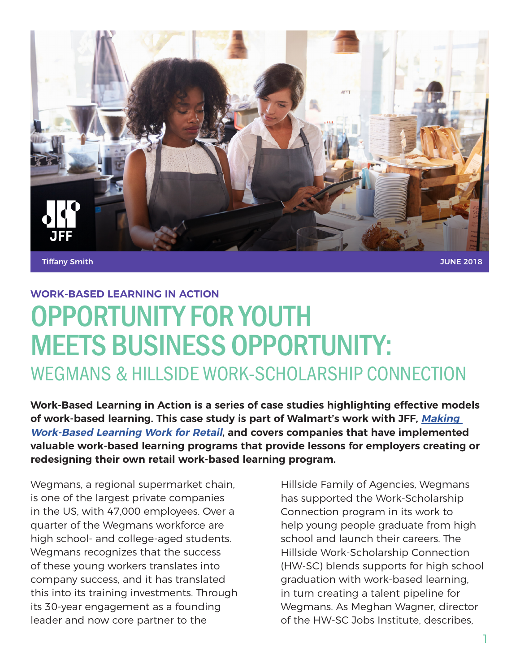

Tiffany Smith

JUNE 2018

# OPPORTUNITY FOR YOUTH MEETS BUSINESS OPPORTUNITY: WEGMANS & HILLSIDE WORK-SCHOLARSHIP CONNECTION **WORK-BASED LEARNING IN ACTION**

**Work-Based Learning in Action is a series of case studies highlighting effective models of work-based learning. This case study is part of Walmart's work with JFF, Making Work-Based Learning Work for Retail, and covers companies that have implemented valuable work-based learning programs that provide lessons for employers creating or redesigning their own retail work-based learning program.**

Wegmans, a regional supermarket chain, is one of the largest private companies in the US, with 47,000 employees. Over a quarter of the Wegmans workforce are high school- and college-aged students. Wegmans recognizes that the success of these young workers translates into company success, and it has translated this into its training investments. Through its 30-year engagement as a founding leader and now core partner to the

Hillside Family of Agencies, Wegmans has supported the Work-Scholarship Connection program in its work to help young people graduate from high school and launch their careers. The Hillside Work-Scholarship Connection (HW-SC) blends supports for high school graduation with work-based learning, in turn creating a talent pipeline for Wegmans. As Meghan Wagner, director of the HW-SC Jobs Institute, describes,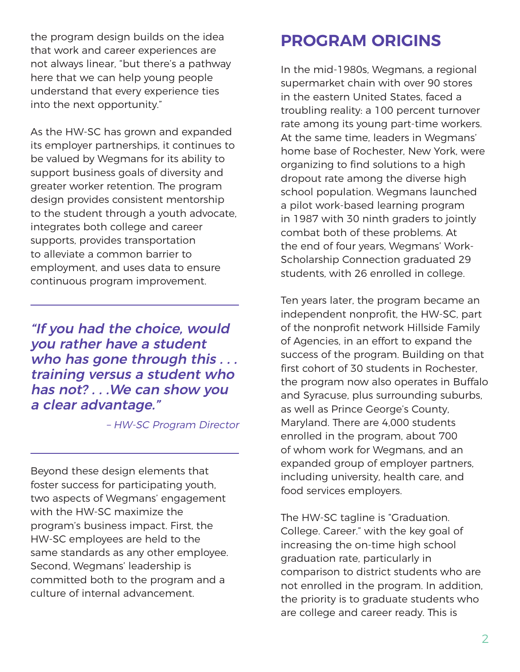the program design builds on the idea that work and career experiences are not always linear, "but there's a pathway here that we can help young people understand that every experience ties into the next opportunity."

As the HW-SC has grown and expanded its employer partnerships, it continues to be valued by Wegmans for its ability to support business goals of diversity and greater worker retention. The program design provides consistent mentorship to the student through a youth advocate, integrates both college and career supports, provides transportation to alleviate a common barrier to employment, and uses data to ensure continuous program improvement.

"If you had the choice, would you rather have a student who has gone through this . . . training versus a student who has not? . . .We can show you a clear advantage."

– HW-SC Program Director

Beyond these design elements that foster success for participating youth, two aspects of Wegmans' engagement with the HW-SC maximize the program's business impact. First, the HW-SC employees are held to the same standards as any other employee. Second, Wegmans' leadership is committed both to the program and a culture of internal advancement.

#### **PROGRAM ORIGINS**

In the mid-1980s, Wegmans, a regional supermarket chain with over 90 stores in the eastern United States, faced a troubling reality: a 100 percent turnover rate among its young part-time workers. At the same time, leaders in Wegmans' home base of Rochester, New York, were organizing to find solutions to a high dropout rate among the diverse high school population. Wegmans launched a pilot work-based learning program in 1987 with 30 ninth graders to jointly combat both of these problems. At the end of four years, Wegmans' Work-Scholarship Connection graduated 29 students, with 26 enrolled in college.

Ten years later, the program became an independent nonprofit, the HW-SC, part of the nonprofit network Hillside Family of Agencies, in an effort to expand the success of the program. Building on that first cohort of 30 students in Rochester, the program now also operates in Buffalo and Syracuse, plus surrounding suburbs, as well as Prince George's County, Maryland. There are 4,000 students enrolled in the program, about 700 of whom work for Wegmans, and an expanded group of employer partners, including university, health care, and food services employers.

The HW-SC tagline is "Graduation. College. Career." with the key goal of increasing the on-time high school graduation rate, particularly in comparison to district students who are not enrolled in the program. In addition, the priority is to graduate students who are college and career ready. This is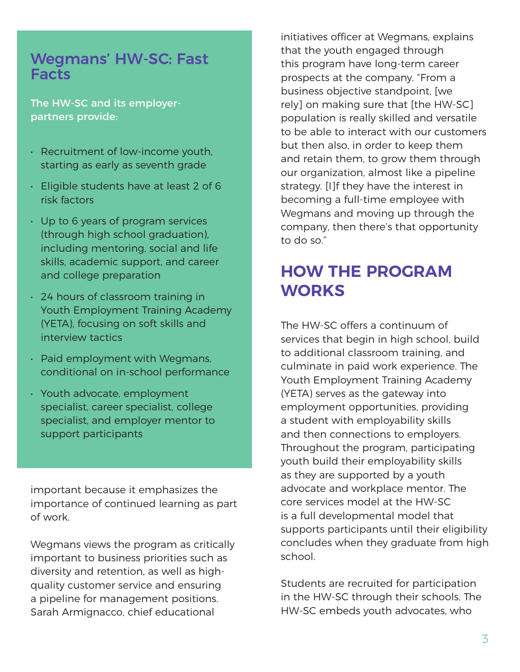#### Wegmans' HW-SC: Fast Facts

The HW-SC and its employerpartners provide:

- Recruitment of low-income youth, starting as early as seventh grade
- Eligible students have at least 2 of 6 risk factors
- Up to 6 years of program services (through high school graduation), including mentoring, social and life skills, academic support, and career and college preparation
- 24 hours of classroom training in Youth Employment Training Academy (YETA), focusing on soft skills and interview tactics
- Paid employment with Wegmans, conditional on in-school performance
- Youth advocate, employment specialist, career specialist, college specialist, and employer mentor to support participants

important because it emphasizes the importance of continued learning as part of work.

Wegmans views the program as critically important to business priorities such as diversity and retention, as well as highquality customer service and ensuring a pipeline for management positions. Sarah Armignacco, chief educational

initiatives officer at Wegmans, explains that the youth engaged through this program have long-term career prospects at the company. "From a business objective standpoint, [we rely] on making sure that [the HW-SC] population is really skilled and versatile to be able to interact with our customers but then also, in order to keep them and retain them, to grow them through our organization, almost like a pipeline strategy. [I]f they have the interest in becoming a full-time employee with Wegmans and moving up through the company, then there's that opportunity to do so."

## **HOW THE PROGRAM WORKS**

The HW-SC offers a continuum of services that begin in high school, build to additional classroom training, and culminate in paid work experience. The Youth Employment Training Academy (YETA) serves as the gateway into employment opportunities, providing a student with employability skills and then connections to employers. Throughout the program, participating youth build their employability skills as they are supported by a youth advocate and workplace mentor. The core services model at the HW-SC is a full developmental model that supports participants until their eligibility concludes when they graduate from high school.

Students are recruited for participation in the HW-SC through their schools. The HW-SC embeds youth advocates, who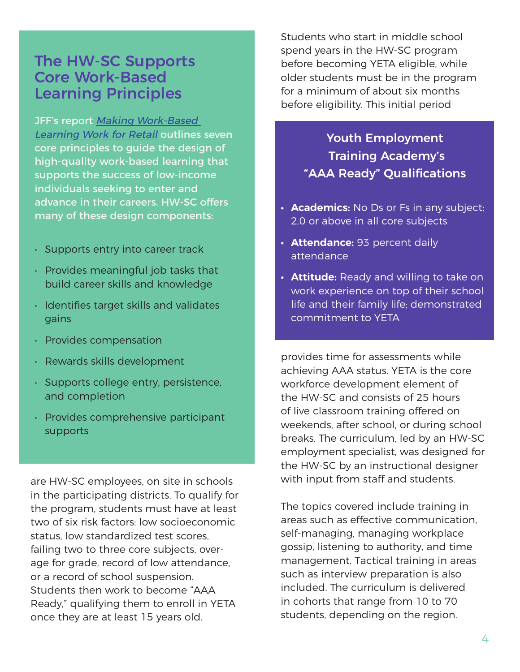#### The HW-SC Supports Core Work-Based Learning Principles

JFF's report Making Work-Based Learning Work for Retail outlines seven core principles to guide the design of high-quality work-based learning that supports the success of low-income individuals seeking to enter and advance in their careers. HW-SC offers many of these design components:

- Supports entry into career track
- Provides meaningful job tasks that build career skills and knowledge
- Identifies target skills and validates gains
- Provides compensation
- Rewards skills development
- Supports college entry, persistence, and completion
- Provides comprehensive participant supports

are HW-SC employees, on site in schools in the participating districts. To qualify for the program, students must have at least two of six risk factors: low socioeconomic status, low standardized test scores, failing two to three core subjects, overage for grade, record of low attendance, or a record of school suspension. Students then work to become "AAA Ready," qualifying them to enroll in YETA once they are at least 15 years old.

Students who start in middle school spend years in the HW-SC program before becoming YETA eligible, while older students must be in the program for a minimum of about six months before eligibility. This initial period

> Youth Employment Training Academy's "AAA Ready" Qualifications

- **• Academics:** No Ds or Fs in any subject; 2.0 or above in all core subjects
- **• Attendance:** 93 percent daily attendance
- **• Attitude:** Ready and willing to take on work experience on top of their school life and their family life; demonstrated commitment to YETA

provides time for assessments while achieving AAA status. YETA is the core workforce development element of the HW-SC and consists of 25 hours of live classroom training offered on weekends, after school, or during school breaks. The curriculum, led by an HW-SC employment specialist, was designed for the HW-SC by an instructional designer with input from staff and students.

The topics covered include training in areas such as effective communication, self-managing, managing workplace gossip, listening to authority, and time management. Tactical training in areas such as interview preparation is also included. The curriculum is delivered in cohorts that range from 10 to 70 students, depending on the region.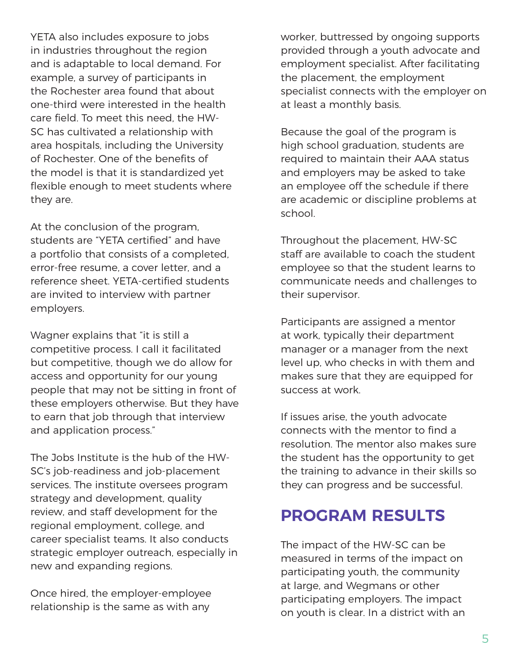YETA also includes exposure to jobs in industries throughout the region and is adaptable to local demand. For example, a survey of participants in the Rochester area found that about one-third were interested in the health care field. To meet this need, the HW-SC has cultivated a relationship with area hospitals, including the University of Rochester. One of the benefits of the model is that it is standardized yet flexible enough to meet students where they are.

At the conclusion of the program, students are "YETA certified" and have a portfolio that consists of a completed, error-free resume, a cover letter, and a reference sheet. YETA-certified students are invited to interview with partner employers.

Wagner explains that "it is still a competitive process. I call it facilitated but competitive, though we do allow for access and opportunity for our young people that may not be sitting in front of these employers otherwise. But they have to earn that job through that interview and application process."

The Jobs Institute is the hub of the HW-SC's job-readiness and job-placement services. The institute oversees program strategy and development, quality review, and staff development for the regional employment, college, and career specialist teams. It also conducts strategic employer outreach, especially in new and expanding regions.

Once hired, the employer-employee relationship is the same as with any

worker, buttressed by ongoing supports provided through a youth advocate and employment specialist. After facilitating the placement, the employment specialist connects with the employer on at least a monthly basis.

Because the goal of the program is high school graduation, students are required to maintain their AAA status and employers may be asked to take an employee off the schedule if there are academic or discipline problems at school.

Throughout the placement, HW-SC staff are available to coach the student employee so that the student learns to communicate needs and challenges to their supervisor.

Participants are assigned a mentor at work, typically their department manager or a manager from the next level up, who checks in with them and makes sure that they are equipped for success at work.

If issues arise, the youth advocate connects with the mentor to find a resolution. The mentor also makes sure the student has the opportunity to get the training to advance in their skills so they can progress and be successful.

#### **PROGRAM RESULTS**

The impact of the HW-SC can be measured in terms of the impact on participating youth, the community at large, and Wegmans or other participating employers. The impact on youth is clear. In a district with an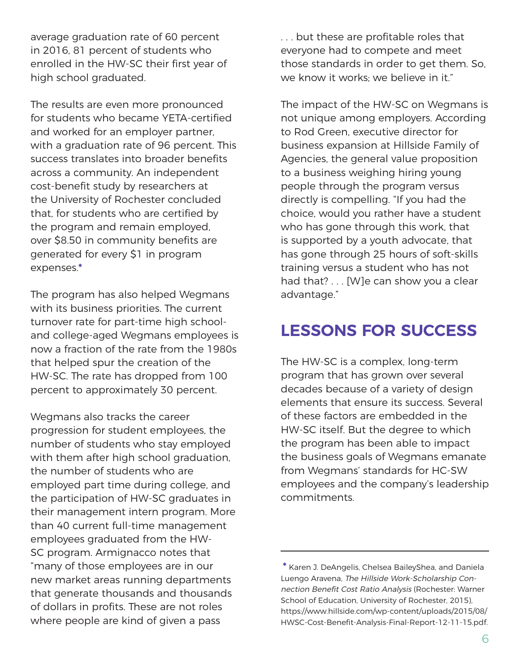average graduation rate of 60 percent in 2016, 81 percent of students who enrolled in the HW-SC their first year of high school graduated.

The results are even more pronounced for students who became YETA-certified and worked for an employer partner, with a graduation rate of 96 percent. This success translates into broader benefits across a community. An independent cost-benefit study by researchers at the University of Rochester concluded that, for students who are certified by the program and remain employed, over \$8.50 in community benefits are generated for every \$1 in program expenses.**\***

The program has also helped Wegmans with its business priorities. The current turnover rate for part-time high schooland college-aged Wegmans employees is now a fraction of the rate from the 1980s that helped spur the creation of the HW-SC. The rate has dropped from 100 percent to approximately 30 percent.

Wegmans also tracks the career progression for student employees, the number of students who stay employed with them after high school graduation, the number of students who are employed part time during college, and the participation of HW-SC graduates in their management intern program. More than 40 current full-time management employees graduated from the HW-SC program. Armignacco notes that "many of those employees are in our new market areas running departments that generate thousands and thousands of dollars in profits. These are not roles where people are kind of given a pass

. . . but these are profitable roles that everyone had to compete and meet those standards in order to get them. So, we know it works; we believe in it."

The impact of the HW-SC on Wegmans is not unique among employers. According to Rod Green, executive director for business expansion at Hillside Family of Agencies, the general value proposition to a business weighing hiring young people through the program versus directly is compelling. "If you had the choice, would you rather have a student who has gone through this work, that is supported by a youth advocate, that has gone through 25 hours of soft-skills training versus a student who has not had that? . . . [W]e can show you a clear advantage."

#### **LESSONS FOR SUCCESS**

The HW-SC is a complex, long-term program that has grown over several decades because of a variety of design elements that ensure its success. Several of these factors are embedded in the HW-SC itself. But the degree to which the program has been able to impact the business goals of Wegmans emanate from Wegmans' standards for HC-SW employees and the company's leadership commitments.

**<sup>\*</sup>** Karen J. DeAngelis, Chelsea BaileyShea, and Daniela Luengo Aravena, The Hillside Work-Scholarship Connection Benefit Cost Ratio Analysis (Rochester: Warner School of Education, University of Rochester, 2015), https://www.hillside.com/wp-content/uploads/2015/08/ HWSC-Cost-Benefit-Analysis-Final-Report-12-11-15.pdf.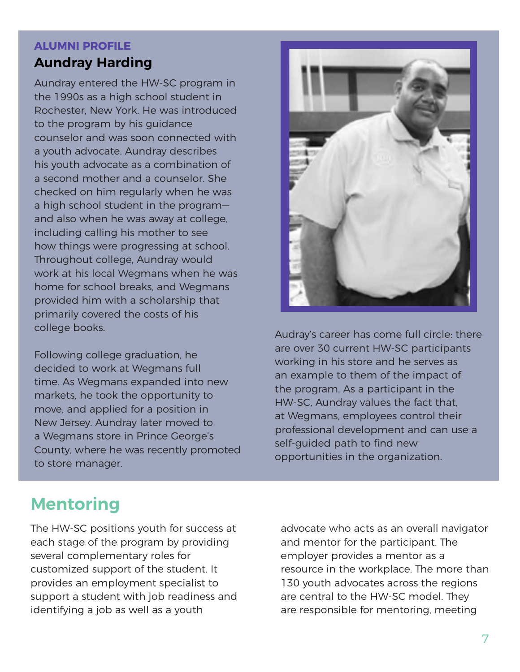#### **ALUMNI PROFILE**

#### **Aundray Harding**

Aundray entered the HW-SC program in the 1990s as a high school student in Rochester, New York. He was introduced to the program by his guidance counselor and was soon connected with a youth advocate. Aundray describes his youth advocate as a combination of a second mother and a counselor. She checked on him regularly when he was a high school student in the program and also when he was away at college, including calling his mother to see how things were progressing at school. Throughout college, Aundray would work at his local Wegmans when he was home for school breaks, and Wegmans provided him with a scholarship that primarily covered the costs of his college books.

Following college graduation, he decided to work at Wegmans full time. As Wegmans expanded into new markets, he took the opportunity to move, and applied for a position in New Jersey. Aundray later moved to a Wegmans store in Prince George's County, where he was recently promoted to store manager.



Audray's career has come full circle: there are over 30 current HW-SC participants working in his store and he serves as an example to them of the impact of the program. As a participant in the HW-SC, Aundray values the fact that, at Wegmans, employees control their professional development and can use a self-guided path to find new opportunities in the organization.

## **Mentoring**

The HW-SC positions youth for success at each stage of the program by providing several complementary roles for customized support of the student. It provides an employment specialist to support a student with job readiness and identifying a job as well as a youth

advocate who acts as an overall navigator and mentor for the participant. The employer provides a mentor as a resource in the workplace. The more than 130 youth advocates across the regions are central to the HW-SC model. They are responsible for mentoring, meeting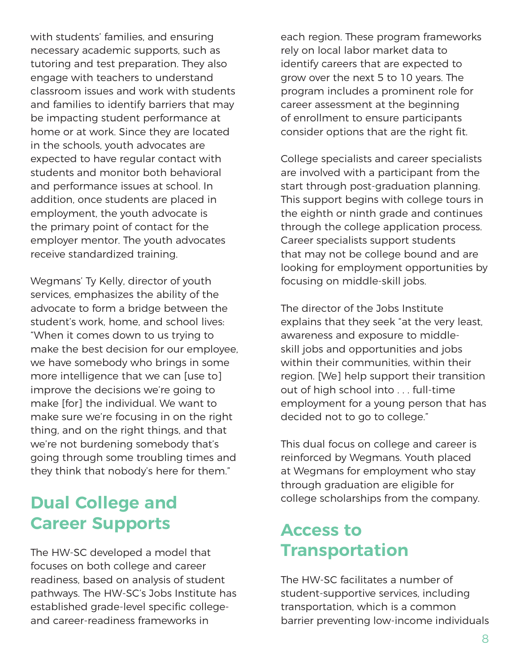with students' families, and ensuring necessary academic supports, such as tutoring and test preparation. They also engage with teachers to understand classroom issues and work with students and families to identify barriers that may be impacting student performance at home or at work. Since they are located in the schools, youth advocates are expected to have regular contact with students and monitor both behavioral and performance issues at school. In addition, once students are placed in employment, the youth advocate is the primary point of contact for the employer mentor. The youth advocates receive standardized training.

Wegmans' Ty Kelly, director of youth services, emphasizes the ability of the advocate to form a bridge between the student's work, home, and school lives: "When it comes down to us trying to make the best decision for our employee, we have somebody who brings in some more intelligence that we can [use to] improve the decisions we're going to make [for] the individual. We want to make sure we're focusing in on the right thing, and on the right things, and that we're not burdening somebody that's going through some troubling times and they think that nobody's here for them."

### **Dual College and Career Supports**

The HW-SC developed a model that focuses on both college and career readiness, based on analysis of student pathways. The HW-SC's Jobs Institute has established grade-level specific collegeand career-readiness frameworks in

each region. These program frameworks rely on local labor market data to identify careers that are expected to grow over the next 5 to 10 years. The program includes a prominent role for career assessment at the beginning of enrollment to ensure participants consider options that are the right fit.

College specialists and career specialists are involved with a participant from the start through post-graduation planning. This support begins with college tours in the eighth or ninth grade and continues through the college application process. Career specialists support students that may not be college bound and are looking for employment opportunities by focusing on middle-skill jobs.

The director of the Jobs Institute explains that they seek "at the very least, awareness and exposure to middleskill jobs and opportunities and jobs within their communities, within their region. [We] help support their transition out of high school into . . . full-time employment for a young person that has decided not to go to college."

This dual focus on college and career is reinforced by Wegmans. Youth placed at Wegmans for employment who stay through graduation are eligible for college scholarships from the company.

## **Access to Transportation**

The HW-SC facilitates a number of student-supportive services, including transportation, which is a common barrier preventing low-income individuals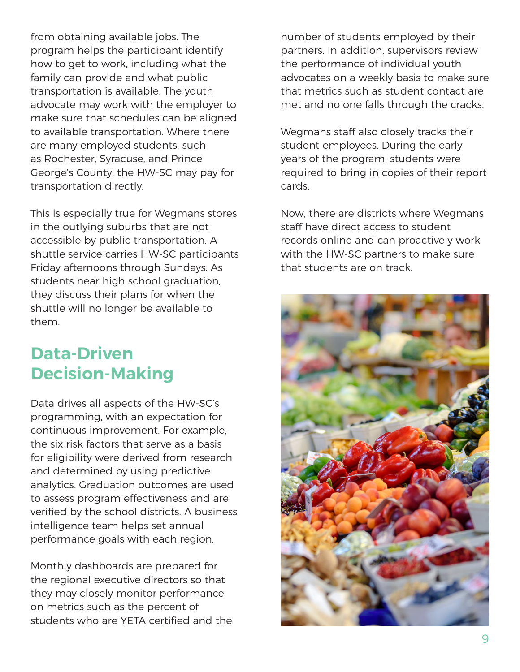from obtaining available jobs. The program helps the participant identify how to get to work, including what the family can provide and what public transportation is available. The youth advocate may work with the employer to make sure that schedules can be aligned to available transportation. Where there are many employed students, such as Rochester, Syracuse, and Prince George's County, the HW-SC may pay for transportation directly.

This is especially true for Wegmans stores in the outlying suburbs that are not accessible by public transportation. A shuttle service carries HW-SC participants Friday afternoons through Sundays. As students near high school graduation, they discuss their plans for when the shuttle will no longer be available to them.

## **Data-Driven Decision-Making**

Data drives all aspects of the HW-SC's programming, with an expectation for continuous improvement. For example, the six risk factors that serve as a basis for eligibility were derived from research and determined by using predictive analytics. Graduation outcomes are used to assess program effectiveness and are verified by the school districts. A business intelligence team helps set annual performance goals with each region.

Monthly dashboards are prepared for the regional executive directors so that they may closely monitor performance on metrics such as the percent of students who are YETA certified and the number of students employed by their partners. In addition, supervisors review the performance of individual youth advocates on a weekly basis to make sure that metrics such as student contact are met and no one falls through the cracks.

Wegmans staff also closely tracks their student employees. During the early years of the program, students were required to bring in copies of their report cards.

Now, there are districts where Wegmans staff have direct access to student records online and can proactively work with the HW-SC partners to make sure that students are on track.

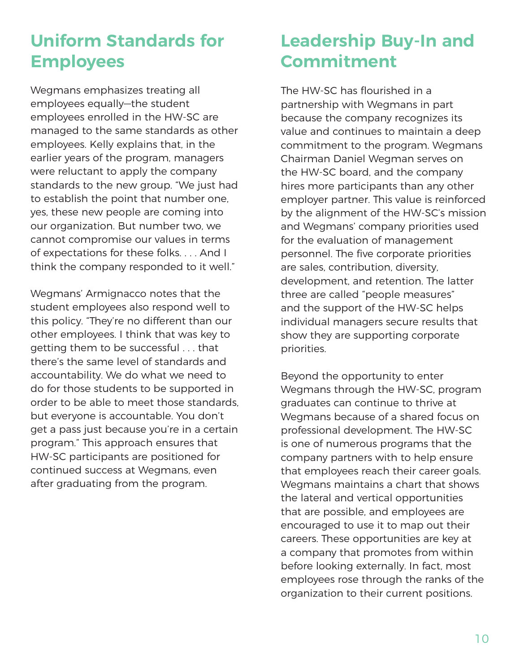# **Uniform Standards for Employees**

Wegmans emphasizes treating all employees equally—the student employees enrolled in the HW-SC are managed to the same standards as other employees. Kelly explains that, in the earlier years of the program, managers were reluctant to apply the company standards to the new group. "We just had to establish the point that number one, yes, these new people are coming into our organization. But number two, we cannot compromise our values in terms of expectations for these folks. . . . And I think the company responded to it well."

Wegmans' Armignacco notes that the student employees also respond well to this policy. "They're no different than our other employees. I think that was key to getting them to be successful . . . that there's the same level of standards and accountability. We do what we need to do for those students to be supported in order to be able to meet those standards, but everyone is accountable. You don't get a pass just because you're in a certain program." This approach ensures that HW-SC participants are positioned for continued success at Wegmans, even after graduating from the program.

# **Leadership Buy-In and Commitment**

The HW-SC has flourished in a partnership with Wegmans in part because the company recognizes its value and continues to maintain a deep commitment to the program. Wegmans Chairman Daniel Wegman serves on the HW-SC board, and the company hires more participants than any other employer partner. This value is reinforced by the alignment of the HW-SC's mission and Wegmans' company priorities used for the evaluation of management personnel. The five corporate priorities are sales, contribution, diversity, development, and retention. The latter three are called "people measures" and the support of the HW-SC helps individual managers secure results that show they are supporting corporate priorities.

Beyond the opportunity to enter Wegmans through the HW-SC, program graduates can continue to thrive at Wegmans because of a shared focus on professional development. The HW-SC is one of numerous programs that the company partners with to help ensure that employees reach their career goals. Wegmans maintains a chart that shows the lateral and vertical opportunities that are possible, and employees are encouraged to use it to map out their careers. These opportunities are key at a company that promotes from within before looking externally. In fact, most employees rose through the ranks of the organization to their current positions.